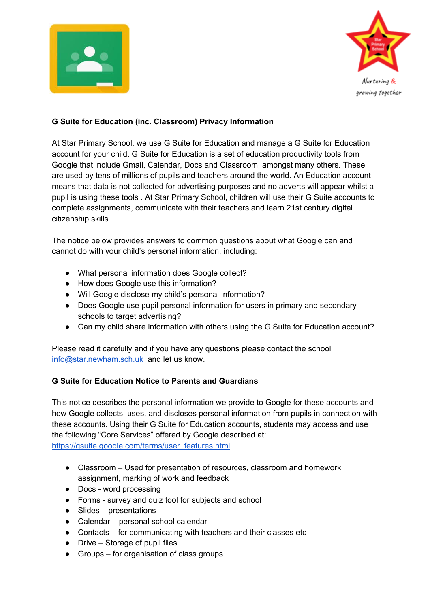



### **G Suite for Education (inc. Classroom) Privacy Information**

At Star Primary School, we use G Suite for Education and manage a G Suite for Education account for your child. G Suite for Education is a set of education productivity tools from Google that include Gmail, Calendar, Docs and Classroom, amongst many others. These are used by tens of millions of pupils and teachers around the world. An Education account means that data is not collected for advertising purposes and no adverts will appear whilst a pupil is using these tools . At Star Primary School, children will use their G Suite accounts to complete assignments, communicate with their teachers and learn 21st century digital citizenship skills.

The notice below provides answers to common questions about what Google can and cannot do with your child's personal information, including:

- What personal information does Google collect?
- How does Google use this information?
- Will Google disclose my child's personal information?
- Does Google use pupil personal information for users in primary and secondary schools to target advertising?
- Can my child share information with others using the G Suite for Education account?

Please read it carefully and if you have any questions please contact the school [info@star.newham.sch.uk](mailto:info@star.newham.sch.uk) and let us know.

#### **G Suite for Education Notice to Parents and Guardians**

This notice describes the personal information we provide to Google for these accounts and how Google collects, uses, and discloses personal information from pupils in connection with these accounts. Using their G Suite for Education accounts, students may access and use the following "Core Services" offered by Google described at: [https://gsuite.google.com/terms/user\\_features.html](https://gsuite.google.com/terms/user_features.html)

- Classroom Used for presentation of resources, classroom and homework assignment, marking of work and feedback
- Docs word processing
- Forms survey and quiz tool for subjects and school
- $\bullet$  Slides presentations
- Calendar personal school calendar
- Contacts for communicating with teachers and their classes etc
- $\bullet$  Drive Storage of pupil files
- Groups for organisation of class groups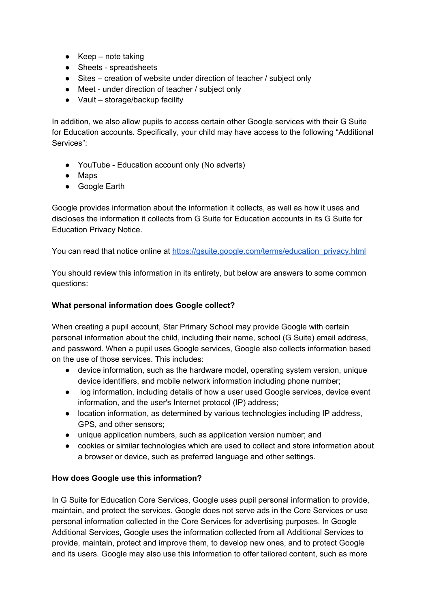- $\bullet$  Keep note taking
- Sheets spreadsheets
- Sites creation of website under direction of teacher / subject only
- Meet under direction of teacher / subject only
- Vault storage/backup facility

In addition, we also allow pupils to access certain other Google services with their G Suite for Education accounts. Specifically, your child may have access to the following "Additional Services":

- YouTube Education account only (No adverts)
- Maps
- Google Earth

Google provides information about the information it collects, as well as how it uses and discloses the information it collects from G Suite for Education accounts in its G Suite for Education Privacy Notice.

You can read that notice online at [https://gsuite.google.com/terms/education\\_privacy.html](https://gsuite.google.com/terms/education_privacy.html)

You should review this information in its entirety, but below are answers to some common questions:

## **What personal information does Google collect?**

When creating a pupil account, Star Primary School may provide Google with certain personal information about the child, including their name, school (G Suite) email address, and password. When a pupil uses Google services, Google also collects information based on the use of those services. This includes:

- device information, such as the hardware model, operating system version, unique device identifiers, and mobile network information including phone number;
- log information, including details of how a user used Google services, device event information, and the user's Internet protocol (IP) address;
- location information, as determined by various technologies including IP address, GPS, and other sensors;
- unique application numbers, such as application version number; and
- cookies or similar technologies which are used to collect and store information about a browser or device, such as preferred language and other settings.

## **How does Google use this information?**

In G Suite for Education Core Services, Google uses pupil personal information to provide, maintain, and protect the services. Google does not serve ads in the Core Services or use personal information collected in the Core Services for advertising purposes. In Google Additional Services, Google uses the information collected from all Additional Services to provide, maintain, protect and improve them, to develop new ones, and to protect Google and its users. Google may also use this information to offer tailored content, such as more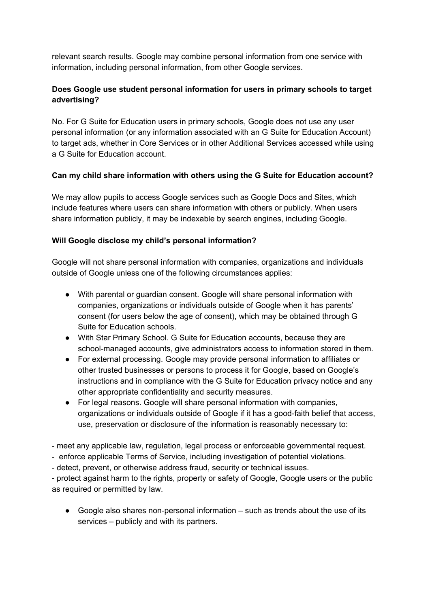relevant search results. Google may combine personal information from one service with information, including personal information, from other Google services.

# **Does Google use student personal information for users in primary schools to target advertising?**

No. For G Suite for Education users in primary schools, Google does not use any user personal information (or any information associated with an G Suite for Education Account) to target ads, whether in Core Services or in other Additional Services accessed while using a G Suite for Education account.

# **Can my child share information with others using the G Suite for Education account?**

We may allow pupils to access Google services such as Google Docs and Sites, which include features where users can share information with others or publicly. When users share information publicly, it may be indexable by search engines, including Google.

## **Will Google disclose my child's personal information?**

Google will not share personal information with companies, organizations and individuals outside of Google unless one of the following circumstances applies:

- With parental or guardian consent. Google will share personal information with companies, organizations or individuals outside of Google when it has parents' consent (for users below the age of consent), which may be obtained through G Suite for Education schools.
- With Star Primary School. G Suite for Education accounts, because they are school-managed accounts, give administrators access to information stored in them.
- For external processing. Google may provide personal information to affiliates or other trusted businesses or persons to process it for Google, based on Google's instructions and in compliance with the G Suite for Education privacy notice and any other appropriate confidentiality and security measures.
- For legal reasons. Google will share personal information with companies, organizations or individuals outside of Google if it has a good-faith belief that access, use, preservation or disclosure of the information is reasonably necessary to:
- meet any applicable law, regulation, legal process or enforceable governmental request.
- enforce applicable Terms of Service, including investigation of potential violations.
- detect, prevent, or otherwise address fraud, security or technical issues.

- protect against harm to the rights, property or safety of Google, Google users or the public as required or permitted by law.

● Google also shares non-personal information – such as trends about the use of its services – publicly and with its partners.